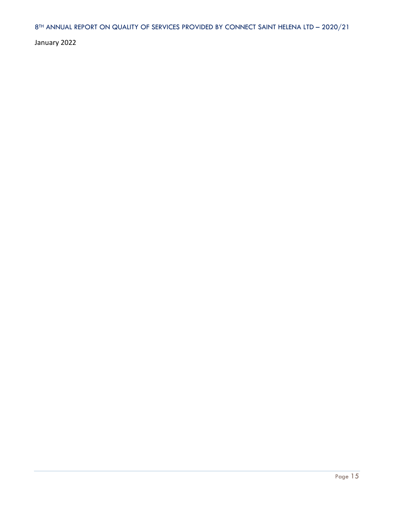ST HELENA UTILITIES REGULATORY AUTHORITY



JANUARY 2022 8<sup>TH</sup> ANNUAL REPORT ON QUALITY OF SERVICES PROVIDED BY CONNECT SAINT HELENA LTD – 2020/21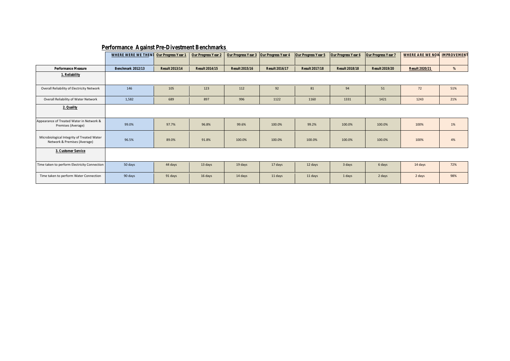The Utilities Regulatory Authority has completed its review of the quality of services provided by Connect for the year to 1st April 2021. The Authority acts entirely independently and is not subject to the direction or control of the Governor, the Executive Council, Legislative Council or any other person or authority. This report is an annual review.

#### **PART 1 – OVERVIEW**

### **1.1 UTILITY SERVICES ORDINANCE 2013**

On 1<sup>st</sup> April 2013 the Utility Services Ordinance 2013 came into force. This Ordinance established the Utilities Regulatory Authority and created a legal framework to facilitate the private sector provision of licensed public utility services.

These services are —

(a) the generation, distribution and supply of electricity;

(b) the collection, storage, treatment and distribution of water; and

(c) the disposal of waste water.

#### **1.2 UTILITIES REGULATORY AUTHORITY**

The members of the Authority are Chief Magistrate Duncan Cooke (as Chairman), Mr Bill Scanes and Mr Paul Hickling. The Judicial Services Manager\* is Secretary to the Authority, to whom any communication should be made. The Authority, and any person acting under its authority, act entirely independently and are not subject to the direction or control of the Governor, the Executive Council, Legislative Council or any other person or authority. \*(yvonne.williams@sainthelena.gov.sh)

## **1.3 OBJECTIVE OF AUTHORITY**

The objective of the Authority is to regulate the development and provision of public utility services in a manner which—

(a) ensures that users of such services are protected from both unreasonable prices and unreasonably low levels of service;

(b) ensures (so far as is consistent with paragraphs (d) and (e)) that the prices charged for such services do not create unreasonable hardships for households or unreasonable hindrance to commercial and economic development in St Helena;

(c) motivates Utilities Providers to improve the quality of the services they provide;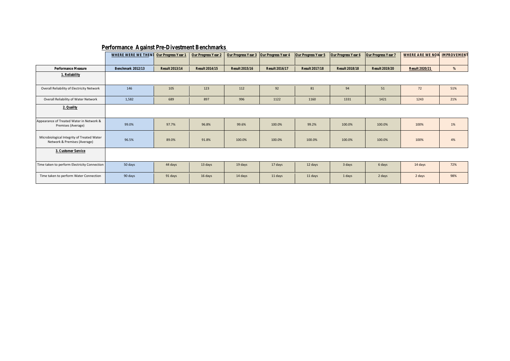- (d) ensures stability and predictability in the public utilities industry in the medium and long terms;
- (e) supports a progressive reduction in levels of subsidy from public funds; and
- (f) has regard to such other regulatory objectives (if any) as may be prescribed.

# **1.4 DUTIES OF AUTHORITY**

It is the duty of the Authority, having regard to its objectives, to carry out its functions and to ensure that Utilities Providers comply with—

- (a) ordinances, regulations and directives issued thereunder, regulating public utility services; and
- (b) the conditions of their licence.

## **1.5 POWERS OF THE AUTHORITY**

The Authority may, for the purpose of performing its duties, issue Directives to a Utilities Provider in connection with the provision of any public utility service; and, without prejudice to that generality, such Directives may impose requirements concerning –

(a) the quality or standard of service which the Utilities Provider must deliver to its customers;

(b) payments of compensation (or abatement of charges) to compensate customers when the service provided does not meet the standards so set;

(c) the maximum charges or fees to be levied by a Utilities Provider for providing the public utility service;

(d) the terms and conditions on which public utility services are to be provided; and

(e) such other matters (if any) as may be prescribed.

## **1.6 PENALTIES BY THE AUTHORITY**

If the Authority is satisfied that a Utilities Provider has failed to comply with a Directive, or with a condition of its licence, the Authority may order the Utilities Provider to pay a penalty not exceeding the sum of £100,000.

A licence may be revoked by the Governor in Council upon recommendation of the Authority, where the Utilities Provider is in substantial and continuing breach of—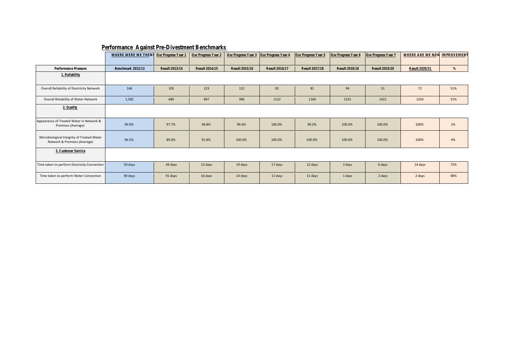- (a) any of the provisions of the licence;
- (b) any Directives issued by the Authority; or
- (c) any other obligations under the Ordinance.

### **1.7 UTILITIES PROVIDER- CONNECT SAINT HELENA LTD**

With effect from 1st April 2013 Connect Saint Helena Ltd ("Connect") were licenced by the Governor in Council to provide all public utility services in St Helena. The Authority was instrumental in the drafting of the licence. The licence contains a considerable number of conditions relative to the quality of the services to be provided by Connect.

Connect is a private limited company which is wholly owned by the St Helena Government ("SHG"). The Board of Directors consist of a non-executive Chair, four further non-executive directors and two executive directors (once Miss Lawrence has joined the board).

#### **1.8 EXERCISE OF POWERS BY AUTHORITY**

It is important to note that, in performing its duties and in exercising its powers, the Authority must have regard to ensuring the stability and predictability of the provision of public utility services. At this stage in the development of the private sector provision, any penalty imposed on Connect by the Authority would have to be reintroduced to Connect by way of increased subsidy or alternatively tariff increases to customers, as Connect are not profit making. The use of such penalty powers by the Authority would in reality only become practical were the utilities provider to commence making a financial profit and, while doing so, not meet the targets and expectations which could reasonably be expected of a Utilities Provider.

#### **1.9 PURPOSE OF REPORT**

This report is principally concerned with motivating the Utilities Provider to improve the quality of the services they provide, where possible. The Authority has a duty to adopt a reasonable approach in setting targets and expectations in these stages of its regulation. Progressive targets and expectations have therefore been set, and amendments to those targets made over time. It would be unreasonable to expect an instantaneous improvement to the levels which the Authority will ultimately endeavour to motivate the Utilities Provider to achieve, consequently the URA view its role at this stage to encourage and assist Connect to achieve an ever improving level of service appropriate to its development as a Utility Provider.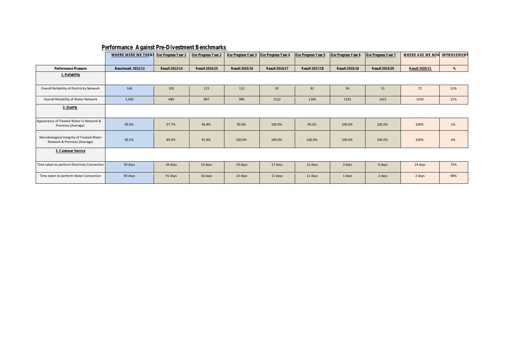This report has been prepared, amongst other things, for the purpose of assessing performance against the targets established by the authority for the period of the review year.

The additional purpose of this report is to inform the public on the level of services being delivered by Connect. In doing so it is hoped to motivate Connect to improve the quality of the services they provide. Connect are aware that such services are being monitored, scrutinised and will be publicly reported upon by the Authority. It should be emphasised that this report relates to the period from 1st April 2020 to 31st March 2021, being the review year.

# **1.10 DEVELOPMENTS IN THE PAST YEAR**

# **Electricity**

25% of the island's electricity is generated by the solar and wind farms. On 29th May 2020 the Power Purchase Agreement was agreed with PASH. Unfortunately that agreement has fallen through and the generation of renewable energy has suffered a setback. The method of generation is not a matter for the Authority but it is of course desirable that renewable energy is used wherever possible, especially if this proves more reliable and efficient

There has also been an increase in unplanned disruptions to the electricity network which is disappointing. However this needs to be seen against a backdrop of significant improvements over the time since divestment. The problem of trees falling onto lines has increased for HV lines but decreased for LV lines. Hardware faults for both HV and LV have increased.

# **Water**

Legacy issues from prior to 2013 are felt most in the water network. However it is gratifying to note that Connect have taken on board the concerns regarding water loss and are taking action to address the same. Water losses show a downward trend but are still too high, having said that the programme in place is by necessity a longer term one. Where specific areas have been targeted significant progress has been made. The URA believe that the aim of a reduction of water loss to 35% within 5-7 years is achievable.

District Metered Areas (DMAs) are being created which allow for a more localised assessment of water loss. There are currently 16 which cover 533 customers. The water loss figure is often skewed by metering errors and once these are rectified the true figure of water loss becomes apparent. The data currently in place for DMAs is not robust enough in some areas to see positive trends but in others it is sufficient to demonstrate reductions of between 30% and 74% for non-revenue water. It must be said that these figures are often as a result of better data collection. Additionally at present ascertaining how much water is actually lost from the system due to leaks and faults as opposed to it simply being used but unbilled is problematic. Water loss can only be truly measured and reduced with accurate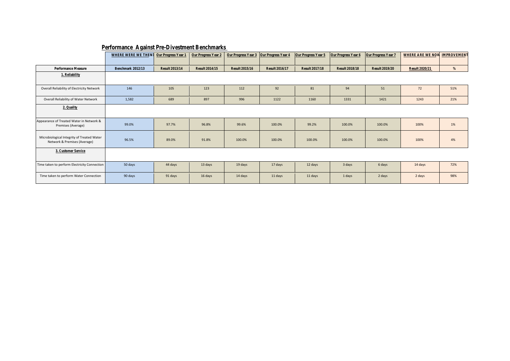data collection and leak management through investment in the infrastructure. The number of faults in the system due to leaks and bust pipes was 1362 last year and 1202 in this year which shows a reduction, however there has been an upward trend for leaks and burst pipes over the past 6 years.

Although the number of faults is not a good indicator of actual water loss it demonstrates the requirement for investment in the network. Improvement in water provision can only come about by investment in the network to address legacy matters. Given that funding of the necessary works cannot be from tariffs, capital investment will have to be sourced through SHG. It is appreciated by the URA that Connect have sought grant payments which have not been forthcoming, except for £68,177 for the Ruperts sewerage treatment plant. The URA are satisfied that Connect is taking what action it can, indeed its investment in capital works for water infrastructure was £496,479 compared to £47,228 last year.

It can only be hoped that with the publication of the Water Resource Strategy SHG, who own the Strategy, will consider the need to fund the necessary infrastructure. As is recognised by the need for a strategy, water security is a matter not only for providers but governments. In times of drought water loss is felt more acutely and addressing infrastructure defects is part of the process for ensuring water security.

# **Water Quality**

Connect were 100% compliant in microbiological integrity. However the turbidity levels for all areas except Levelwood are above the targets set by the URA. The area of concern is Jamestown where the level is above World Health Organisation maximum levels for drinking water. The relevant statistical information is within Appendix 3

## **Sewerage**

Apart from normal maintenance activity there has been no further investment in the sewerage systems for Half Tree Hollow and Jamestown. Outline planning development permission was granted some time ago to install a system for both areas but there has been no funding available, as a consequence the permission has lapsed.

Connect and the URA recognise these sewerage problems as a priority. In times of heavy rainfall untreated sewage enters the sea bringing risks of impact upon health and environment. Connect are concerned at the proposal by SHG to make them responsible for storm water in addition to sewerage on the basis of a technical assessment for Half Tree Hollow that they consider deficient. Whatever the circumstances sewerage provision for Half Tree Hollow and Jamestown must be urgently resolved.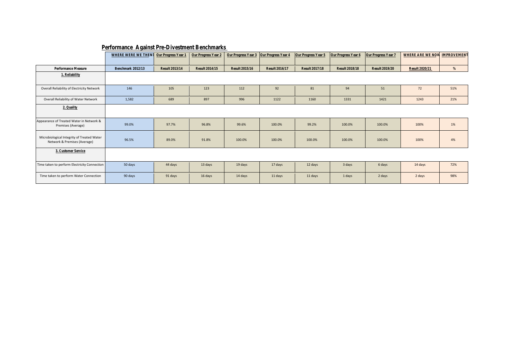# **Capital Works**

Capital comes from two sources, either in the form of Capital Grants from SHG or from finances generated by Connect themselves. The table below shows how the capital was spent:

| <b>ASSET CLASS</b>                | Grant Funded (£)                              | <b>Connect Funded (£)</b> | Total $(f)$ |
|-----------------------------------|-----------------------------------------------|---------------------------|-------------|
| <b>Electricity Infrastructure</b> |                                               | 115,183                   | 115,183     |
| Equipment                         |                                               | 9,737                     | 9,737       |
| Land and Buildings                |                                               | 175,020                   | 175,020     |
| Water Infrastructure              | (for<br>68,117<br><b>Ruperts</b><br>sewerage) | 496,479                   | 564,656     |
| <b>TOTAL</b>                      | 68,177                                        | 796,419                   | 864,596     |

This investment is a significant increase on last year where £106,352 was spent.

## **Organisation**

Of significance was the departure of the CEO Barry Hubbard in August 2021. A recruitment process was undertaken and Miss Janet Lawrence will take up the post from 14<sup>th</sup> February 2022.

# **PART 2 – PUBLIC UTILITIES DEVELOPMENT PLAN**

## **2.1 PUDP**

The Public Utilities Development Plan ("PUDP") was agreed, after extensive discussions, between Connect and the Authority. This provides for a planned improvement to the reliability and quality of public utility services. The plan requires the collation of performance indicators to assist in determining if such improvements are being achieved by Connect. Such performance indicators are measured against the "benchmark year" of 2012/13, namely the year prior to the commencement of the Connect operation as a private limited company. The relevant plan is contained in Appendix 1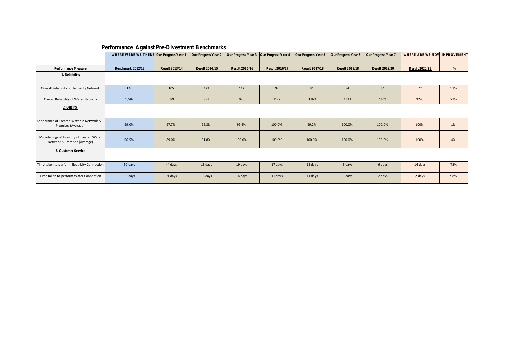# **2.2 RELIABILITY OF ELECTRICITY DISTRIBUTION NETWORK**

Disruptions to the Electricity Distribution Network ("EDN") may be High Voltage ("HV") affecting a large number of consumers or Low Voltage ("LV") generally affecting a small number of consumers. In the benchmark year the EDN had in total 146 disruptions. Connect has reduced the number of total disruptions from the benchmark year of 146 to 70 (51 last year), within the agreed target of 95. Year 19/20 was the best to date.

The graph below shows the improvement trend:

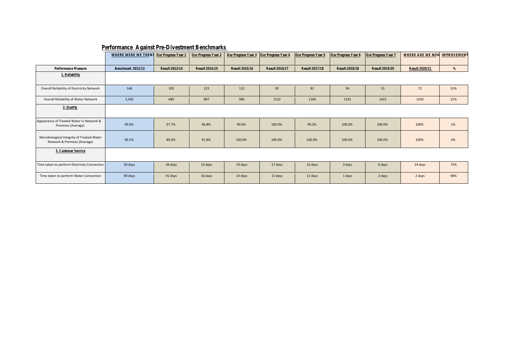

The pie charts below show the spread of faults between the high and low voltage networks.

The number of trees falling onto lines increased this year compared to last year but a decrease compared to 2018/19. High Voltage hardware faults increased this year by three. The Authority expects to see a reduction in the number of problems caused by trees for next year

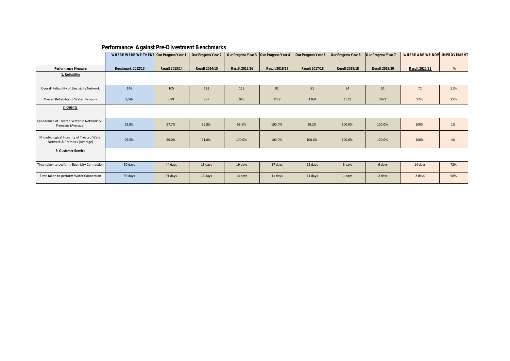Low voltage faults have less impact than high voltage faults since they relate to single customers or small groups of customers. The number of hardware faults increased from nineteen to thirty two and the number of trees falling onto the lines decreased from eight to three. The Authority expects to see a reduction in the number of hardware faults for next year



## **2.3 RELIABILITY OF WATER DISTRIBUTION NETWORK**

Although the reliability of the water network has improved since divestment there is a worrying trend in relation to the amount of leaking pipes whilst other faults remain constant or improve. A dedicated team is renewing the mains, survey work informs the location of pressure reducing valves which reduce the incidence of over pressure which is a cause of bursts. An analysis of faults is shown below.

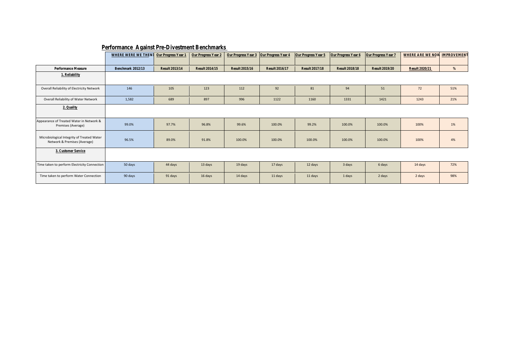

| Burst pipe | Leaking pipe | Blockage | Air lock | Tank empty | Mechanical |
|------------|--------------|----------|----------|------------|------------|
| 57         | 1145         | 10       |          |            | 18         |

The trend is similar to last year and of the 1,243 faults 96% were attributable to bursts and leaks.

# **2.4 WATER QUALITY**

Appendix 3 shows the results in more detail but overall Connect were 100% compliant with microbiological integrity against a target of 99.5%. The Environmental Health Department continues to provide independent verification of results with the sampling and testing regime now supported by annual training from the Senior Microbiologist on correct sampling methodology.

The silt traps provided in 2017 slowed down the rate at which silt will accumulate in the earth dam, which will be emptied whenever necessary and not exceeding every two years. This will remove accumulation of silt in Harpers 2 (the earth dam).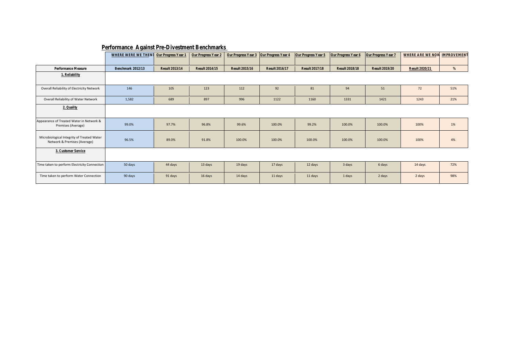Turbidity levels are still too high and for Jamestown above World Health Organisation guidance for drinking water. Except for Levelwood the levels for all areas were above targets set by the Authority

### **2.5 CONNECTION TIMES**

Improved targets for the time to perform new connections to the electricity and water supply networks were agreed last year. The measure is the number of days Connect contributes to the process, for ease of measurement non-working days are included.

For electricity connections the 2012/13 benchmark was fifty days, the 2020/21 target was ten days and fourteen days was achieved against six days the previous year. This represents a significant increase in the time taken to connect for electricity. This would have been within the target for 2019/20 but is not within the revised target.

Water connections were below the target of five days (reduced from ten in 2019/20) with the average time being two days. The 2012/13 benchmark was ninety days.

#### **2.6 COMPLAINTS**

The complaints handling system has 100% compliance. A total of ten complaints were resolved at the first level with zero being escalated to the second or third level.

## **PART 3 - CODES OF PRACTICE**

#### **3.1 TARGETS**

Codes of Practice were agreed between Connect and the URA. These make provision for the compliance with conditions 23 to 30 of Connect's licence. The URA sets targets of 100% compliance and these are more particularly dealt with in Appendix 2

Of note there is currently no CoP for efficient use of water. The URA believes that it is important that customers are assisted in reducing water usage and are enabled to monitor their own water usage. Last year it was agreed that Connect would have in place a proposal for a target to be included in this year's report, however with the change in CEO this did not occur. A target proposal will be discussed during any request for tariff increases

## **3.2 ACCESS TO PREMISES - CONDITON 23**

This condition requires that all employees (a) possess the skills necessary to perform their required duties, (b) are readily identifiable by the public, (c) are appropriate people to visit and enter a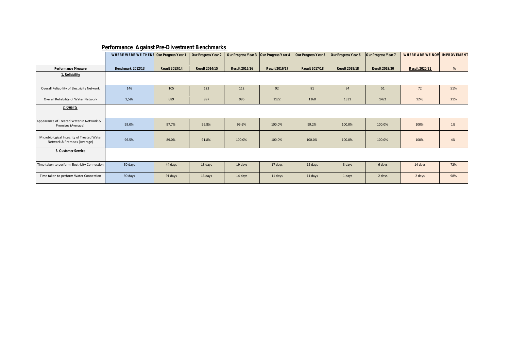customer's premises and (d) in a position to advise customers of a contact point for help and advice if required.

The majority of customer contacts are by the meter readers that are now contracted directly to Connect as opposed to the previous outsourced arrangement. The meter readers are bound by the requirements stated in the Code of Practice as a condition of their contract with Connect. Both the meter reader staff and Connect staff have ID badges to readily identify themselves to members of the public. Training material has been provided and information is now printed on the reverse side of the bills directing customers in relation to advice.

The URA has found no evidence of non-compliance.

## **3.3 PAYMENT OF BILLS AND CUSTOMERS IN DEFAULT - CONDITIONS 24 AND 25**

These codes of practice were introduced and included into Connect processes with input from the Social Services Manager in respect of those having difficulty in paying their bills, and also identifying customers in default and ensuring reasonable payment terms are agreed.

Connect has a member of the finance staff dedicated to managing customer debt which includes agreeing alternative payment arrangements and liaising with Social Services. Connect works with the charity Making Ends Meet ("MEM") and through the charity provides funding to those that MEM consider are vulnerable and unable to pay their bills, subject to measures being put in place to prevent recurrence.

Last year Connect provided funds to help fourteen debtors and since divestment has helped a total of two hundred and fourteen customers.

The URA has found no evidence of non-compliance with both these CoP's.

## **3.4 CONNECTIONS AND DISCONNECTIONS - CONDITION 26**

This condition requires specific connection and disconnection procedures to be followed within various time limits. The Authority found no evidence of non-compliance with advising, visiting to assess work required, reconnection and disconnection.

The Code of Practice requires a site visit within five working days. Twenty five electricity applications were made and fifty three for water. All site visits were carried out on time.

## **3.5 DISABLED, CHRONICALLY SICK AND PENSIONABLE AGE CUSTOMERS – CONDITION 27**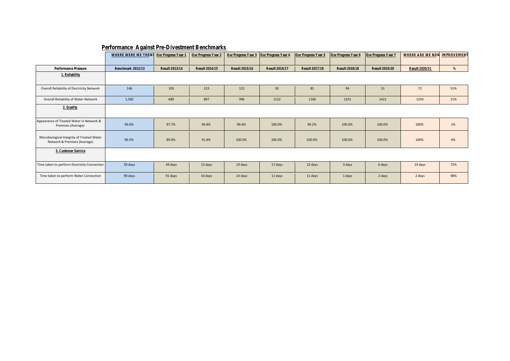Through liaison with the Social Services Manager Connect have undertaken to visit consumers at their request to provide advice on the use of electricity and water. Additionally, Connect have provided

Social Services with a stock of high efficiency luminaires to distribute and have further committed to provide monitoring equipment in order that vulnerable consumers can, with assistance, understand more of their usage profile. Authorised officers can be readily identified by their identity card.

The Authority found no evidence of non-compliance.

#### **3.6 FORMAL COMPLAINTS – CONDITION 28**

This condition requires that complaints are reviewed, resolved or referred within various time limits.

A total of ten complaints were received. Complaints are reviewed by the management team on a weekly basis. All ten complaints were resolved at the first level.

The Authority found no evidence of non-compliance.

#### **3.7 READING OF METERS - CONDITION 29**

Reliably obtaining accurate meter readings is of course important to all customers. The meter readers have been trained in identifying potentially dangerous meter installations. Nine meters were identified as unsafe and the meters have been relocated to a safer location.

The Authority found no evidence of non-compliance.

## **3.8 EFFICIENT USE OF ELECTRICITY – CONDITION 30**

A number of advertisements have been designed to inform the public. Customers are advised on the reverse side of their bills that information leaflets are available. Home visits are offered to disabled and chronically ill customers via Social Services. Advertisements are placed each week in the local papers which is greater than the six monthly requirements; the scope has been expanded to provide water consumers with information on efficient use of water. Connect also publish, on an ad-hoc basis, articles that they feel will be of interest to the general public.

#### **PART 4 – CONCLUSIONS**

#### **4.1 PUBLIC UTILITIES DEVELOPMENT PLAN COMPLIANCE**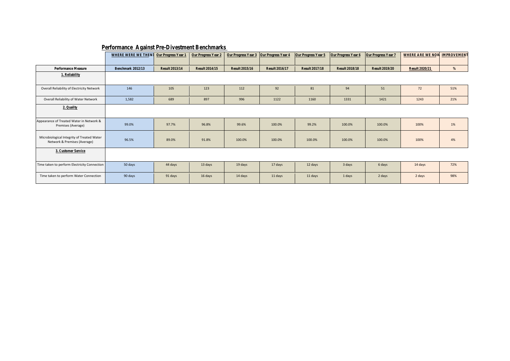The reliability of the electricity distribution network is ahead of the reducing targets set by the Authority and has demonstrated a significant improvement from the benchmark year.

The increase in the time to connect for electricity is something that will have to be addressed and brought within the target.

The reliability of the water distribution network is an area where failing has occurred, as last year. It is hoped that the additional interest in the security of the water distribution network by SHG will further highlight the inherited problems that Connect is dealing with. These problems require investment and while revenue from water is significantly below the cost of water production the opportunity for such investment is limited. The URA are impressed at the steps that Connect are making to reduce water loss and expect these to continue.

#### **4.2 CODES OF PRACTICE COMPLIANCE**

The Authority is again happy with the level of compliance with the CoP's and looks forward to agreeing a CoP for efficient use of water.

#### **4.3 GENERAL CONCLUSIONS**

This is the eighth annual report issued by the Authority.

Electricity provision is considered good given the starting point at divestment. The collapse of the Power Purchase Agreement is a setback in terms of the potential for reduced electricity costs and Connect are encouraged to find an alternative partner

Reliability of the water network continues to be an area of real concern. Water security is essential to any community and given the isolation of St Helena self-sufficiency is required. Investment is urgently required to firstly halt the degeneration of the system and secondly to reduce water loss. Investment from SHG last year was at zero. None was forthcoming this year to improve the network. Connect cannot raise sufficient money to improve the network through tariffs which customers find a heavy financial burden. The URA believes that the efforts that Connect have made in the last year show a significant commitment to improvement on their part.

Sewerage again continues to be a problem and is a priority that must be addressed. Connect's income from sewerage is insufficient to allow for investment in the new systems required.

Utilities Regulatory Authority